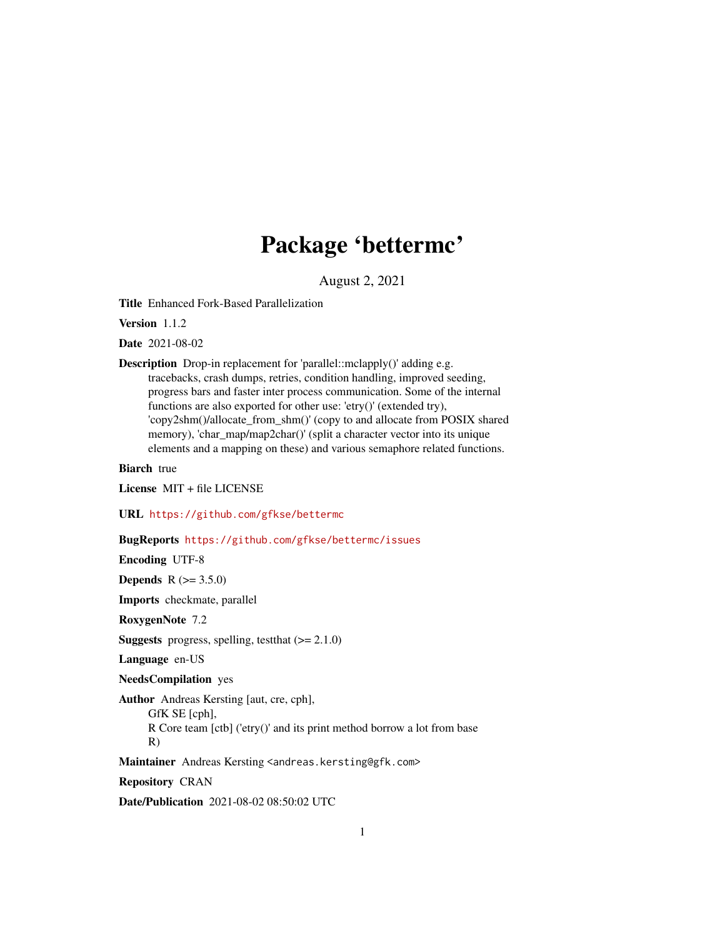# Package 'bettermc'

August 2, 2021

<span id="page-0-0"></span>Title Enhanced Fork-Based Parallelization

Version 1.1.2

Date 2021-08-02

Description Drop-in replacement for 'parallel::mclapply()' adding e.g. tracebacks, crash dumps, retries, condition handling, improved seeding, progress bars and faster inter process communication. Some of the internal functions are also exported for other use: 'etry()' (extended try), 'copy2shm()/allocate\_from\_shm()' (copy to and allocate from POSIX shared memory), 'char\_map/map2char()' (split a character vector into its unique elements and a mapping on these) and various semaphore related functions.

Biarch true

License MIT + file LICENSE

URL <https://github.com/gfkse/bettermc>

# BugReports <https://github.com/gfkse/bettermc/issues>

Encoding UTF-8

**Depends** R  $(>= 3.5.0)$ 

Imports checkmate, parallel

RoxygenNote 7.2

**Suggests** progress, spelling, test that  $(>= 2.1.0)$ 

Language en-US

NeedsCompilation yes

Author Andreas Kersting [aut, cre, cph], GfK SE [cph], R Core team [ctb] ('etry()' and its print method borrow a lot from base R)

Maintainer Andreas Kersting <andreas.kersting@gfk.com>

Repository CRAN

Date/Publication 2021-08-02 08:50:02 UTC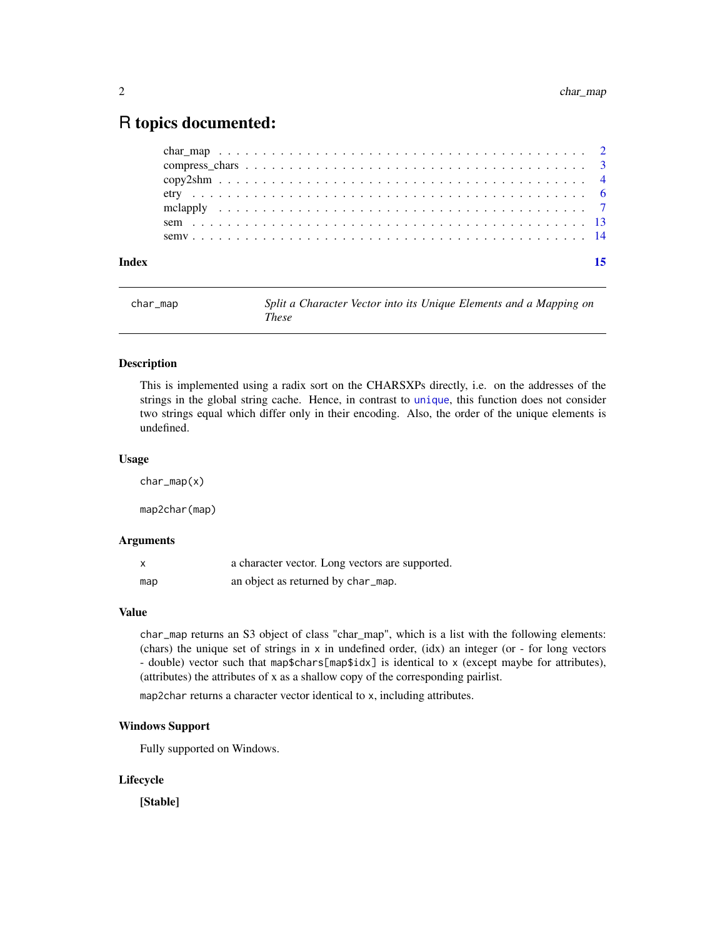# <span id="page-1-0"></span>R topics documented:

| Index | 15 |
|-------|----|
|       |    |
|       |    |
|       |    |
|       |    |
|       |    |
|       |    |
|       |    |

<span id="page-1-1"></span>

| char_map | Split a Character Vector into its Unique Elements and a Mapping on |
|----------|--------------------------------------------------------------------|
|          | These                                                              |

#### <span id="page-1-2"></span>Description

This is implemented using a radix sort on the CHARSXPs directly, i.e. on the addresses of the strings in the global string cache. Hence, in contrast to [unique](#page-0-0), this function does not consider two strings equal which differ only in their encoding. Also, the order of the unique elements is undefined.

#### Usage

char\_map(x)

map2char(map)

# Arguments

|     | a character vector. Long vectors are supported. |
|-----|-------------------------------------------------|
| map | an object as returned by char_map.              |

# Value

char\_map returns an S3 object of class "char\_map", which is a list with the following elements: (chars) the unique set of strings in x in undefined order, (idx) an integer (or - for long vectors - double) vector such that map\$chars[map\$idx] is identical to x (except maybe for attributes), (attributes) the attributes of x as a shallow copy of the corresponding pairlist.

map2char returns a character vector identical to x, including attributes.

#### Windows Support

Fully supported on Windows.

#### Lifecycle

[Stable]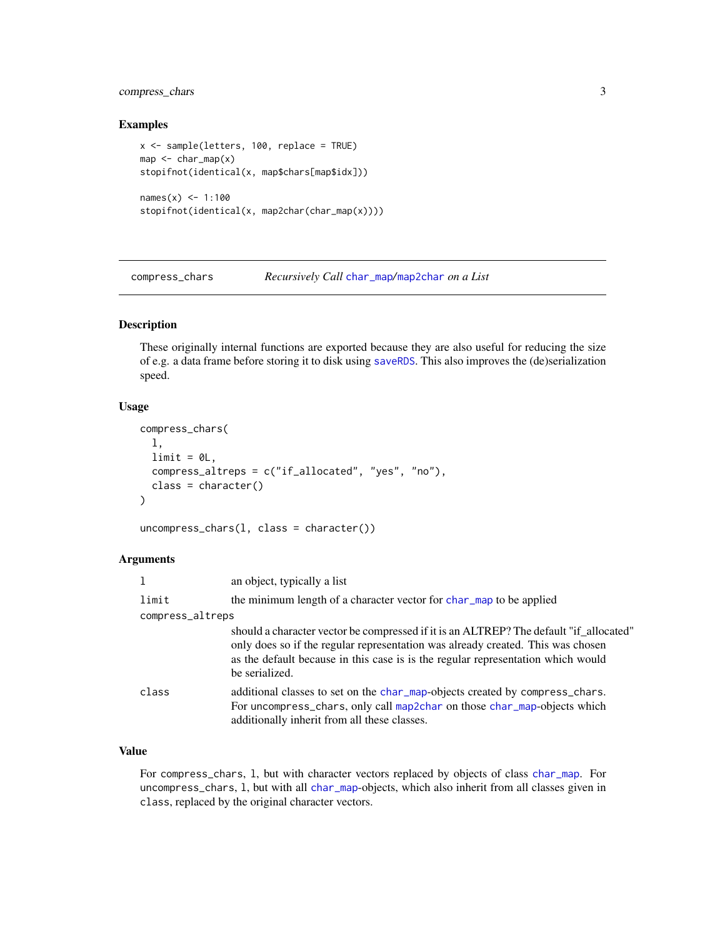# <span id="page-2-0"></span>compress\_chars 3

#### Examples

```
x <- sample(letters, 100, replace = TRUE)
map < -char_map(x)stopifnot(identical(x, map$chars[map$idx]))
names(x) < -1:100stopifnot(identical(x, map2char(char_map(x))))
```
compress\_chars *Recursively Call* [char\\_map](#page-1-1)*/*[map2char](#page-1-2) *on a List*

### Description

These originally internal functions are exported because they are also useful for reducing the size of e.g. a data frame before storing it to disk using [saveRDS](#page-0-0). This also improves the (de)serialization speed.

#### Usage

```
compress_chars(
  l,
 limit = 0L,
 compress_altreps = c("if_allocated", "yes", "no"),
 class = character()
)
```
uncompress\_chars(l, class = character())

# Arguments

|                  | an object, typically a list                                                                                                                                                                                                                                                     |
|------------------|---------------------------------------------------------------------------------------------------------------------------------------------------------------------------------------------------------------------------------------------------------------------------------|
| limit            | the minimum length of a character vector for char map to be applied                                                                                                                                                                                                             |
| compress_altreps |                                                                                                                                                                                                                                                                                 |
|                  | should a character vector be compressed if it is an ALTREP? The default "if_allocated"<br>only does so if the regular representation was already created. This was chosen<br>as the default because in this case is is the regular representation which would<br>be serialized. |
| class            | additional classes to set on the char_map-objects created by compress_chars.<br>For uncompress_chars, only call map2char on those char_map-objects which<br>additionally inherit from all these classes.                                                                        |

# Value

For compress\_chars, l, but with character vectors replaced by objects of class [char\\_map](#page-1-1). For uncompress\_chars, l, but with all [char\\_map](#page-1-1)-objects, which also inherit from all classes given in class, replaced by the original character vectors.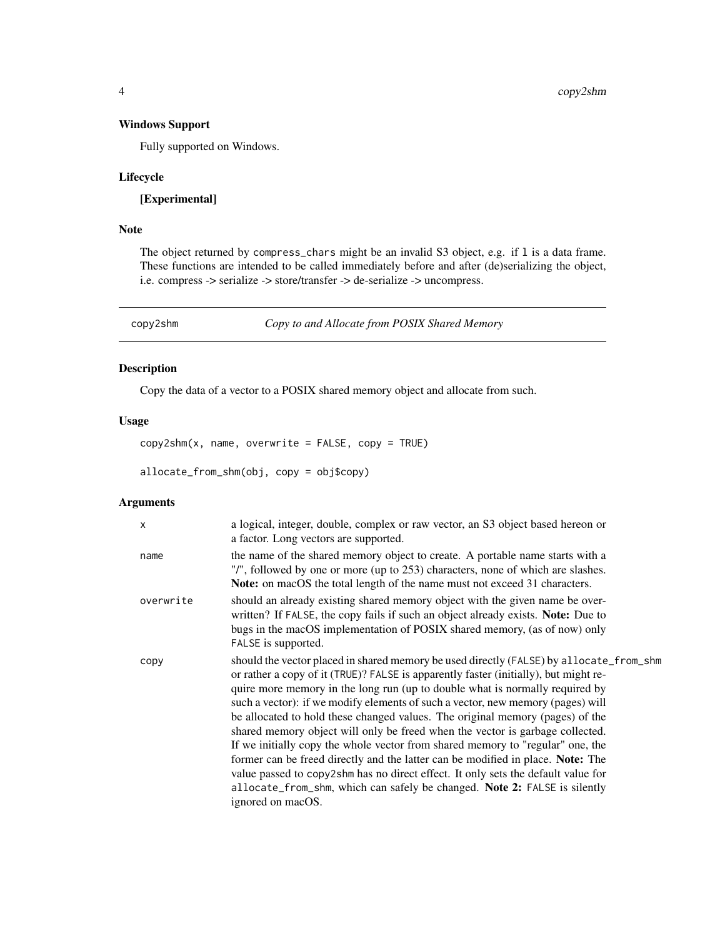# <span id="page-3-0"></span>Windows Support

Fully supported on Windows.

# Lifecycle

[Experimental]

# Note

The object returned by compress\_chars might be an invalid S3 object, e.g. if l is a data frame. These functions are intended to be called immediately before and after (de)serializing the object, i.e. compress -> serialize -> store/transfer -> de-serialize -> uncompress.

<span id="page-3-1"></span>copy2shm *Copy to and Allocate from POSIX Shared Memory*

# Description

Copy the data of a vector to a POSIX shared memory object and allocate from such.

#### Usage

 $copy2shm(x, name, overwrite = FALSE, copy = TRUE)$ 

allocate\_from\_shm(obj, copy = obj\$copy)

# Arguments

| $\mathsf{x}$ | a logical, integer, double, complex or raw vector, an S3 object based hereon or<br>a factor. Long vectors are supported.                                                                                                                                                                                                                                                                                                                                                                                                                                                                                                                                                                                                                                                                                                                                                         |
|--------------|----------------------------------------------------------------------------------------------------------------------------------------------------------------------------------------------------------------------------------------------------------------------------------------------------------------------------------------------------------------------------------------------------------------------------------------------------------------------------------------------------------------------------------------------------------------------------------------------------------------------------------------------------------------------------------------------------------------------------------------------------------------------------------------------------------------------------------------------------------------------------------|
| name         | the name of the shared memory object to create. A portable name starts with a<br>"/", followed by one or more (up to 253) characters, none of which are slashes.<br><b>Note:</b> on macOS the total length of the name must not exceed 31 characters.                                                                                                                                                                                                                                                                                                                                                                                                                                                                                                                                                                                                                            |
| overwrite    | should an already existing shared memory object with the given name be over-<br>written? If FALSE, the copy fails if such an object already exists. Note: Due to<br>bugs in the macOS implementation of POSIX shared memory, (as of now) only<br>FALSE is supported.                                                                                                                                                                                                                                                                                                                                                                                                                                                                                                                                                                                                             |
| copy         | should the vector placed in shared memory be used directly (FALSE) by allocate_from_shm<br>or rather a copy of it (TRUE)? FALSE is apparently faster (initially), but might re-<br>quire more memory in the long run (up to double what is normally required by<br>such a vector): if we modify elements of such a vector, new memory (pages) will<br>be allocated to hold these changed values. The original memory (pages) of the<br>shared memory object will only be freed when the vector is garbage collected.<br>If we initially copy the whole vector from shared memory to "regular" one, the<br>former can be freed directly and the latter can be modified in place. Note: The<br>value passed to copy2shm has no direct effect. It only sets the default value for<br>allocate_from_shm, which can safely be changed. Note 2: FALSE is silently<br>ignored on macOS. |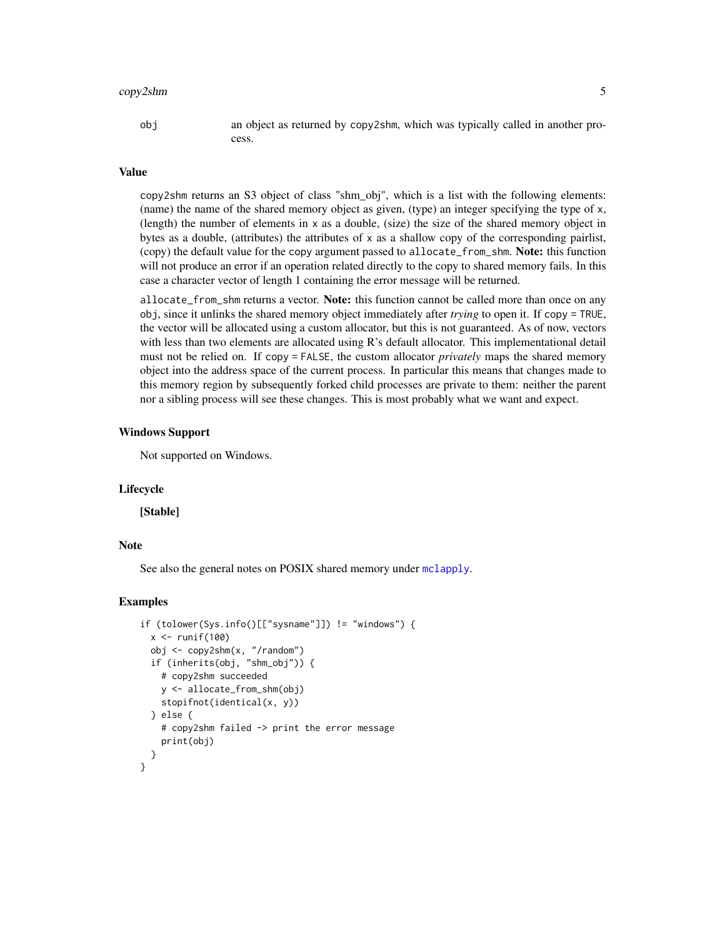#### <span id="page-4-0"></span>copy2shm 5

obj an object as returned by copy2shm, which was typically called in another process.

#### Value

copy2shm returns an S3 object of class "shm\_obj", which is a list with the following elements: (name) the name of the shared memory object as given, (type) an integer specifying the type of x, (length) the number of elements in x as a double, (size) the size of the shared memory object in bytes as a double, (attributes) the attributes of x as a shallow copy of the corresponding pairlist, (copy) the default value for the copy argument passed to allocate\_from\_shm. Note: this function will not produce an error if an operation related directly to the copy to shared memory fails. In this case a character vector of length 1 containing the error message will be returned.

allocate\_from\_shm returns a vector. Note: this function cannot be called more than once on any obj, since it unlinks the shared memory object immediately after *trying* to open it. If copy = TRUE, the vector will be allocated using a custom allocator, but this is not guaranteed. As of now, vectors with less than two elements are allocated using R's default allocator. This implementational detail must not be relied on. If copy = FALSE, the custom allocator *privately* maps the shared memory object into the address space of the current process. In particular this means that changes made to this memory region by subsequently forked child processes are private to them: neither the parent nor a sibling process will see these changes. This is most probably what we want and expect.

#### Windows Support

Not supported on Windows.

#### Lifecycle

[Stable]

# Note

See also the general notes on POSIX shared memory under [mclapply](#page-6-1).

#### Examples

```
if (tolower(Sys.info()[["sysname"]]) != "windows") {
 x \leftarrow runif(100)obj <- copy2shm(x, "/random")
 if (inherits(obj, "shm_obj")) {
    # copy2shm succeeded
    y <- allocate_from_shm(obj)
    stopifnot(identical(x, y))
 } else {
    # copy2shm failed -> print the error message
    print(obj)
 }
}
```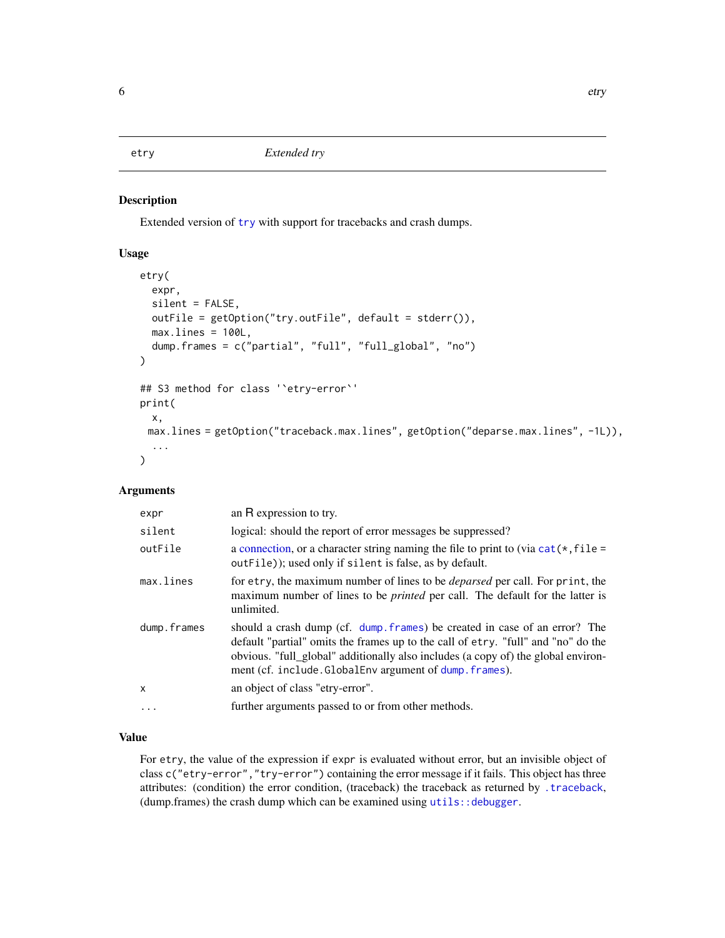<span id="page-5-1"></span><span id="page-5-0"></span>

#### Description

Extended version of [try](#page-0-0) with support for tracebacks and crash dumps.

# Usage

```
etry(
  expr,
  silent = FALSE,
  outFile = getOption("try.outFile", default = stderr()),
 max.lines = 100L,
  dump.frames = c("partial", "full", "full_global", "no")
)
## S3 method for class '`etry-error`'
print(
  x,
 max.lines = getOption("traceback.max.lines", getOption("deparse.max.lines", -1L)),
  ...
)
```
# Arguments

| expr        | an R expression to try.                                                                                                                                                                                                                                                                                      |
|-------------|--------------------------------------------------------------------------------------------------------------------------------------------------------------------------------------------------------------------------------------------------------------------------------------------------------------|
| silent      | logical: should the report of error messages be suppressed?                                                                                                                                                                                                                                                  |
| outFile     | a connection, or a character string naming the file to print to (via $cat(*, file =$<br>out File); used only if silent is false, as by default.                                                                                                                                                              |
| max.lines   | for etry, the maximum number of lines to be <i>deparsed</i> per call. For print, the<br>maximum number of lines to be <i>printed</i> per call. The default for the latter is<br>unlimited.                                                                                                                   |
| dump.frames | should a crash dump (cf. dump frames) be created in case of an error? The<br>default "partial" omits the frames up to the call of etry. "full" and "no" do the<br>obvious. "full_global" additionally also includes (a copy of) the global environ-<br>ment (cf. include.GlobalEnv argument of dump.frames). |
| X           | an object of class "etry-error".                                                                                                                                                                                                                                                                             |
| $\ddotsc$   | further arguments passed to or from other methods.                                                                                                                                                                                                                                                           |

# Value

For etry, the value of the expression if expr is evaluated without error, but an invisible object of class c("etry-error","try-error") containing the error message if it fails. This object has three attributes: (condition) the error condition, (traceback) the traceback as returned by [.traceback](#page-0-0), (dump.frames) the crash dump which can be examined using utils:: debugger.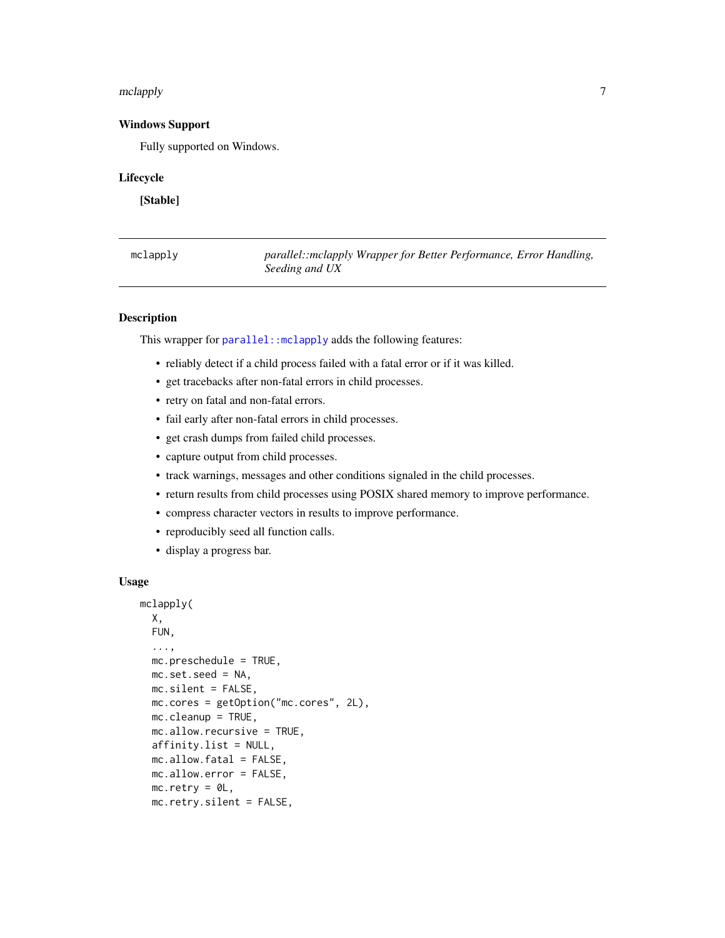#### <span id="page-6-0"></span>mclapply **7**

# Windows Support

Fully supported on Windows.

#### Lifecycle

[Stable]

<span id="page-6-1"></span>

| mclapply | parallel::mclapply Wrapper for Better Performance, Error Handling, |  |  |  |
|----------|--------------------------------------------------------------------|--|--|--|
|          | Seeding and UX                                                     |  |  |  |

### Description

This wrapper for [parallel::mclapply](#page-0-0) adds the following features:

- reliably detect if a child process failed with a fatal error or if it was killed.
- get tracebacks after non-fatal errors in child processes.
- retry on fatal and non-fatal errors.
- fail early after non-fatal errors in child processes.
- get crash dumps from failed child processes.
- capture output from child processes.
- track warnings, messages and other conditions signaled in the child processes.
- return results from child processes using POSIX shared memory to improve performance.
- compress character vectors in results to improve performance.
- reproducibly seed all function calls.
- display a progress bar.

#### Usage

```
mclapply(
 X,
 FUN,
  ...,
 mc.preschedule = TRUE,
 mc.set.seed = NA,
 mc.silent = FALSE,
 mc.cores = getOption("mc.cores", 2L),
 mc.cleanup = TRUE,
 mc.allow.recursive = TRUE,
 affinity.list = NULL,
 mc.allow.fatal = FALSE,
 mc.allow.error = FALSE,
 mc.retry = <math>OL</math>,mc.retry.silent = FALSE,
```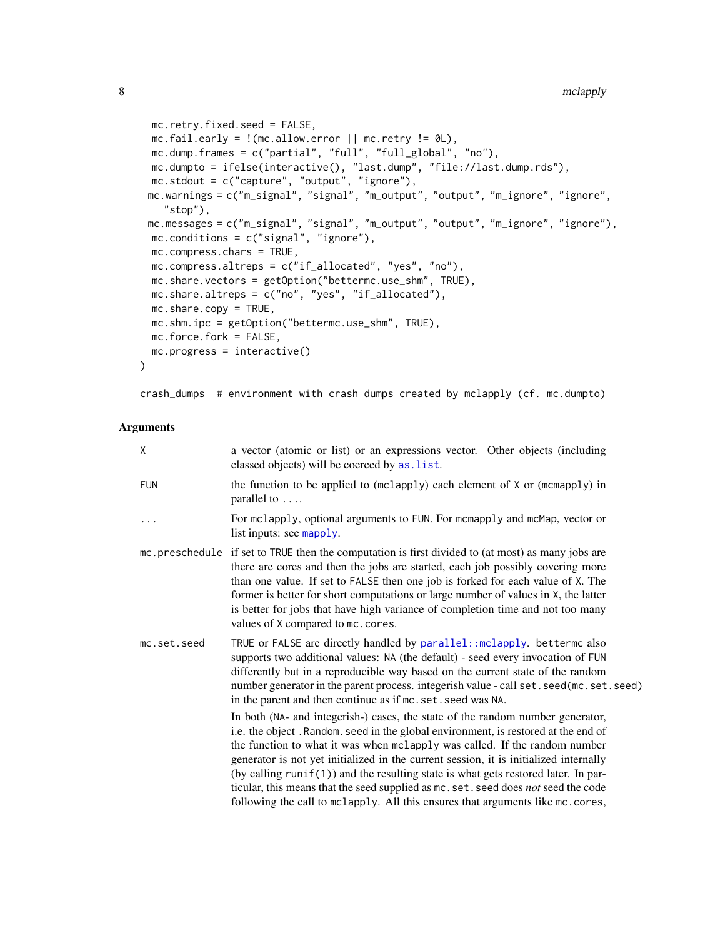```
mc.retry.fixed.seed = FALSE,
mc.fail.early = !(mc.allow.error || mc.retry != 0L),mc.dump.frames = c("partial", "full", "full_global", "no"),
mc.dumpto = ifelse(interactive(), "last.dump", "file://last.dump.rds"),
mc.stdout = c("capture", "output", "ignore"),
mc.warnings = c("m_signal", "signal", "m_output", "output", "m_ignore", "ignore",
  "stop"),
mc.messages = c("m_signal", "signal", "m_output", "output", "m_ignore", "ignore"),
mc.conditions = c("signal", "ignore"),
mc.compress.chars = TRUE,
mc.compress.altreps = c("if_allocated", "yes", "no"),
mc.share.vectors = getOption("bettermc.use_shm", TRUE),
mc.share.altreps = c("no", "yes", "if_allocated"),
mc.share.copy = TRUE,
mc.shm.ipc = getOption("bettermc.use_shm", TRUE),
mc.force.fork = FALSE,
mc.progress = interactive()
```

```
crash_dumps # environment with crash dumps created by mclapply (cf. mc.dumpto)
```
#### Arguments

 $\mathcal{L}$ 

| X           | a vector (atomic or list) or an expressions vector. Other objects (including<br>classed objects) will be coerced by as . list.                                                                                                                                                                                                                                                                                                                                                                                                                                                                                                                                 |
|-------------|----------------------------------------------------------------------------------------------------------------------------------------------------------------------------------------------------------------------------------------------------------------------------------------------------------------------------------------------------------------------------------------------------------------------------------------------------------------------------------------------------------------------------------------------------------------------------------------------------------------------------------------------------------------|
| <b>FUN</b>  | the function to be applied to (mclapply) each element of X or (mcmapply) in<br>parallel to $\dots$                                                                                                                                                                                                                                                                                                                                                                                                                                                                                                                                                             |
| .           | For mclapply, optional arguments to FUN. For mcmapply and mcMap, vector or<br>list inputs: see mapply.                                                                                                                                                                                                                                                                                                                                                                                                                                                                                                                                                         |
|             | mc. preschedule if set to TRUE then the computation is first divided to (at most) as many jobs are<br>there are cores and then the jobs are started, each job possibly covering more<br>than one value. If set to FALSE then one job is forked for each value of X. The<br>former is better for short computations or large number of values in X, the latter<br>is better for jobs that have high variance of completion time and not too many<br>values of X compared to mc. cores.                                                                                                                                                                          |
| mc.set.seed | TRUE or FALSE are directly handled by parallel:: mclapply. bettermc also<br>supports two additional values: NA (the default) - seed every invocation of FUN<br>differently but in a reproducible way based on the current state of the random<br>number generator in the parent process. integerish value - call set. seed(mc. set. seed)<br>in the parent and then continue as if mc. set. seed was NA.<br>In both (NA- and integerish-) cases, the state of the random number generator,<br>i.e. the object. Random. seed in the global environment, is restored at the end of<br>the function to what it was when mclapply was called. If the random number |
|             | generator is not yet initialized in the current session, it is initialized internally<br>(by calling $runit(1)$ ) and the resulting state is what gets restored later. In par-<br>ticular, this means that the seed supplied as mc. set. seed does not seed the code<br>following the call to mclapply. All this ensures that arguments like mc. cores,                                                                                                                                                                                                                                                                                                        |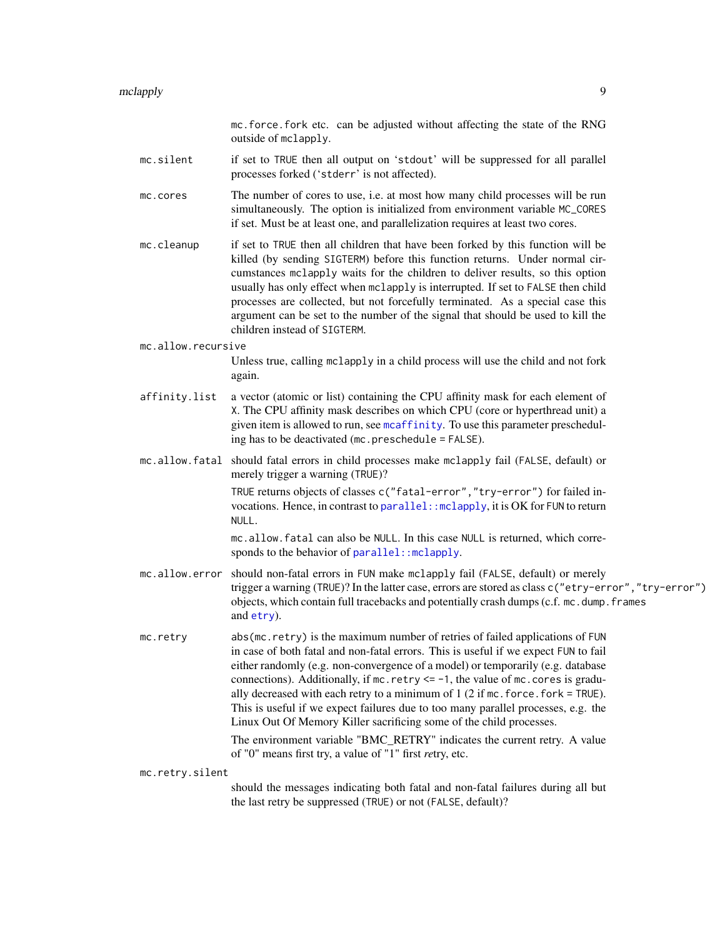mc.force.fork etc. can be adjusted without affecting the state of the RNG outside of mclapply.

- <span id="page-8-0"></span>mc.silent if set to TRUE then all output on 'stdout' will be suppressed for all parallel processes forked ('stderr' is not affected).
- mc.cores The number of cores to use, i.e. at most how many child processes will be run simultaneously. The option is initialized from environment variable MC\_CORES if set. Must be at least one, and parallelization requires at least two cores.
- mc.cleanup if set to TRUE then all children that have been forked by this function will be killed (by sending SIGTERM) before this function returns. Under normal circumstances mclapply waits for the children to deliver results, so this option usually has only effect when mclapply is interrupted. If set to FALSE then child processes are collected, but not forcefully terminated. As a special case this argument can be set to the number of the signal that should be used to kill the children instead of SIGTERM.
- mc.allow.recursive

Unless true, calling mclapply in a child process will use the child and not fork again.

- affinity.list a vector (atomic or list) containing the CPU affinity mask for each element of X. The CPU affinity mask describes on which CPU (core or hyperthread unit) a given item is allowed to run, see [mcaffinity](#page-0-0). To use this parameter prescheduling has to be deactivated (mc.preschedule = FALSE).
- mc.allow.fatal should fatal errors in child processes make mclapply fail (FALSE, default) or merely trigger a warning (TRUE)?

TRUE returns objects of classes c("fatal-error","try-error") for failed invocations. Hence, in contrast to parallel: : mclapply, it is OK for FUN to return NULL.

mc.allow.fatal can also be NULL. In this case NULL is returned, which corresponds to the behavior of parallel: : mclapply.

- mc.allow.error should non-fatal errors in FUN make mclapply fail (FALSE, default) or merely trigger a warning (TRUE)? In the latter case, errors are stored as class c("etry-error","try-error") objects, which contain full tracebacks and potentially crash dumps (c.f. mc.dump.frames and [etry](#page-5-1)).
- mc.retry abs(mc.retry) is the maximum number of retries of failed applications of FUN in case of both fatal and non-fatal errors. This is useful if we expect FUN to fail either randomly (e.g. non-convergence of a model) or temporarily (e.g. database connections). Additionally, if  $mc.$  retry  $\leq -1$ , the value of  $mc.$  cores is gradually decreased with each retry to a minimum of  $1(2 \text{ if } mc \cdot \text{force} \cdot \text{fork} = \text{TRUE}).$ This is useful if we expect failures due to too many parallel processes, e.g. the Linux Out Of Memory Killer sacrificing some of the child processes.

The environment variable "BMC\_RETRY" indicates the current retry. A value of "0" means first try, a value of "1" first *re*try, etc.

mc.retry.silent

should the messages indicating both fatal and non-fatal failures during all but the last retry be suppressed (TRUE) or not (FALSE, default)?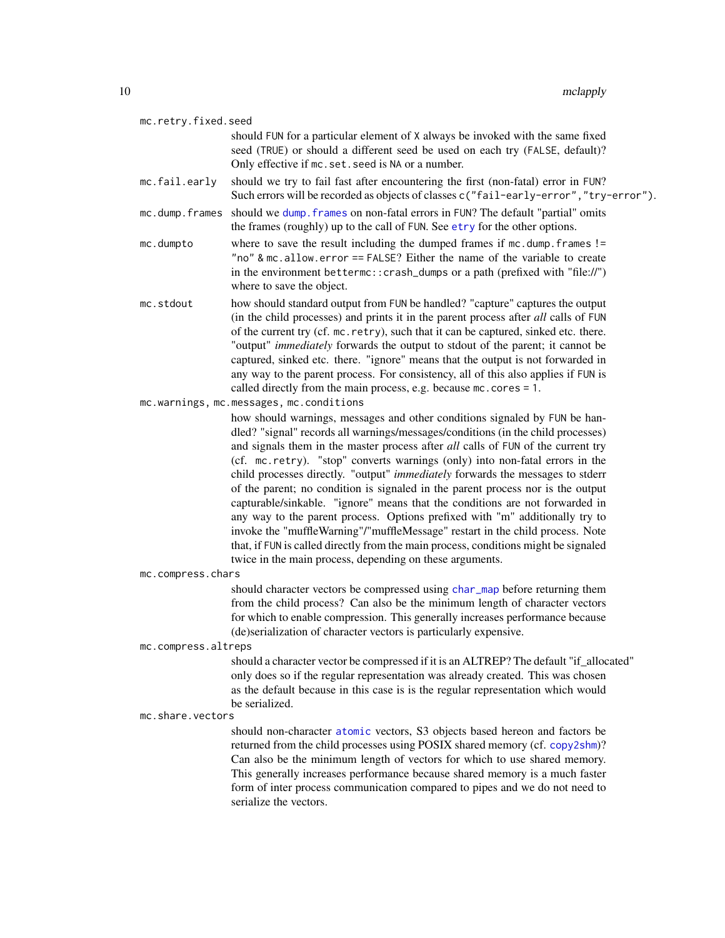<span id="page-9-0"></span>

| 10 |                     | mclapply                                                                                                                                                                                                                                                                                                                                                                                                                                                                                                                                                                                                                                                                                                                                                                                                                                                                                                    |
|----|---------------------|-------------------------------------------------------------------------------------------------------------------------------------------------------------------------------------------------------------------------------------------------------------------------------------------------------------------------------------------------------------------------------------------------------------------------------------------------------------------------------------------------------------------------------------------------------------------------------------------------------------------------------------------------------------------------------------------------------------------------------------------------------------------------------------------------------------------------------------------------------------------------------------------------------------|
|    | mc.retry.fixed.seed |                                                                                                                                                                                                                                                                                                                                                                                                                                                                                                                                                                                                                                                                                                                                                                                                                                                                                                             |
|    |                     | should FUN for a particular element of X always be invoked with the same fixed<br>seed (TRUE) or should a different seed be used on each try (FALSE, default)?<br>Only effective if mc. set. seed is NA or a number.                                                                                                                                                                                                                                                                                                                                                                                                                                                                                                                                                                                                                                                                                        |
|    | mc.fail.early       | should we try to fail fast after encountering the first (non-fatal) error in FUN?<br>Such errors will be recorded as objects of classes c("fail-early-error", "try-error").                                                                                                                                                                                                                                                                                                                                                                                                                                                                                                                                                                                                                                                                                                                                 |
|    | mc.dump.frames      | should we dump. frames on non-fatal errors in FUN? The default "partial" omits<br>the frames (roughly) up to the call of FUN. See etry for the other options.                                                                                                                                                                                                                                                                                                                                                                                                                                                                                                                                                                                                                                                                                                                                               |
|    | mc.dumpto           | where to save the result including the dumped frames if mc.dump.frames !=<br>"no" & mc.allow.error == FALSE? Either the name of the variable to create<br>in the environment bettermc:: crash_dumps or a path (prefixed with "file://")<br>where to save the object.                                                                                                                                                                                                                                                                                                                                                                                                                                                                                                                                                                                                                                        |
|    | mc.stdout           | how should standard output from FUN be handled? "capture" captures the output<br>(in the child processes) and prints it in the parent process after all calls of FUN<br>of the current try (cf. mc. retry), such that it can be captured, sinked etc. there.<br>"output" immediately forwards the output to stdout of the parent; it cannot be<br>captured, sinked etc. there. "ignore" means that the output is not forwarded in<br>any way to the parent process. For consistency, all of this also applies if FUN is<br>called directly from the main process, e.g. because mc. cores = 1.                                                                                                                                                                                                                                                                                                               |
|    |                     | mc.warnings, mc.messages, mc.conditions                                                                                                                                                                                                                                                                                                                                                                                                                                                                                                                                                                                                                                                                                                                                                                                                                                                                     |
|    |                     | how should warnings, messages and other conditions signaled by FUN be han-<br>dled? "signal" records all warnings/messages/conditions (in the child processes)<br>and signals them in the master process after all calls of FUN of the current try<br>(cf. mc.retry). "stop" converts warnings (only) into non-fatal errors in the<br>child processes directly. "output" immediately forwards the messages to stderr<br>of the parent; no condition is signaled in the parent process nor is the output<br>capturable/sinkable. "ignore" means that the conditions are not forwarded in<br>any way to the parent process. Options prefixed with "m" additionally try to<br>invoke the "muffleWarning"/"muffleMessage" restart in the child process. Note<br>that, if FUN is called directly from the main process, conditions might be signaled<br>twice in the main process, depending on these arguments. |
|    | mc.compress.chars   |                                                                                                                                                                                                                                                                                                                                                                                                                                                                                                                                                                                                                                                                                                                                                                                                                                                                                                             |
|    |                     | should character vectors be compressed using char_map before returning them<br>from the child process? Can also be the minimum length of character vectors<br>for which to enable compression. This generally increases performance because<br>(de)serialization of character vectors is particularly expensive.                                                                                                                                                                                                                                                                                                                                                                                                                                                                                                                                                                                            |
|    | mc.compress.altreps |                                                                                                                                                                                                                                                                                                                                                                                                                                                                                                                                                                                                                                                                                                                                                                                                                                                                                                             |
|    |                     | should a character vector be compressed if it is an ALTREP? The default "if_allocated"<br>only does so if the regular representation was already created. This was chosen<br>as the default because in this case is is the regular representation which would<br>be serialized.                                                                                                                                                                                                                                                                                                                                                                                                                                                                                                                                                                                                                             |
|    | mc.share.vectors    |                                                                                                                                                                                                                                                                                                                                                                                                                                                                                                                                                                                                                                                                                                                                                                                                                                                                                                             |
|    |                     | should non-character atomic vectors, S3 objects based hereon and factors be<br>returned from the child processes using POSIX shared memory (cf. copy2shm)?<br>Can also be the minimum length of vectors for which to use shared memory.                                                                                                                                                                                                                                                                                                                                                                                                                                                                                                                                                                                                                                                                     |

This generally increases performance because shared memory is a much faster form of inter process communication compared to pipes and we do not need to serialize the vectors.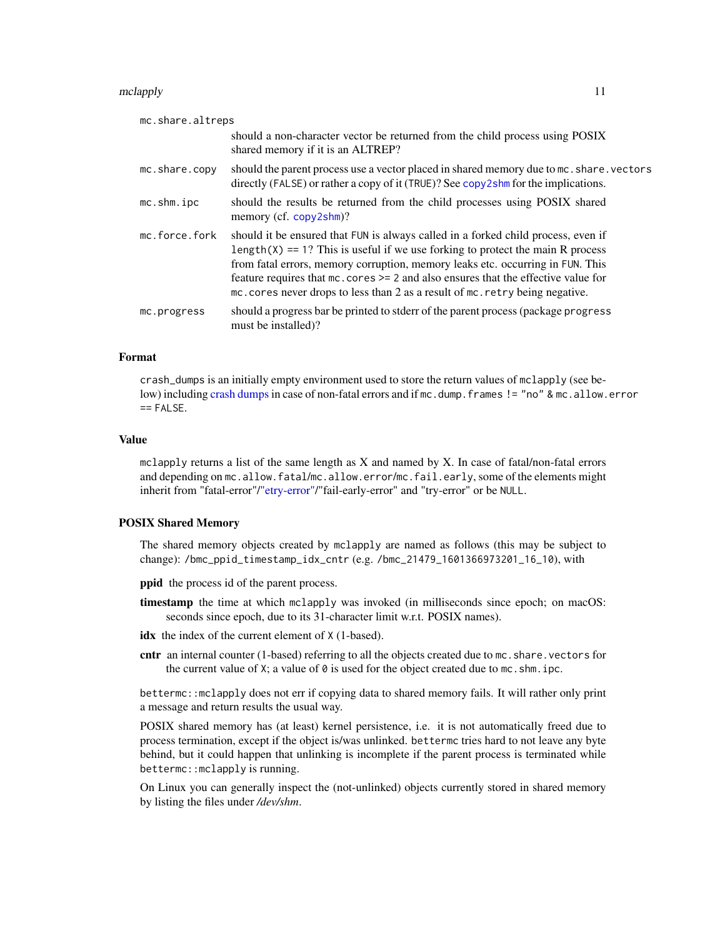#### <span id="page-10-0"></span>mclapply that the contract of the contract of the contract of the contract of the contract of the contract of the contract of the contract of the contract of the contract of the contract of the contract of the contract of

| mc.share.altreps |                                                                                                                                                                                                                                                                                                                                                                                                                                          |
|------------------|------------------------------------------------------------------------------------------------------------------------------------------------------------------------------------------------------------------------------------------------------------------------------------------------------------------------------------------------------------------------------------------------------------------------------------------|
|                  | should a non-character vector be returned from the child process using POSIX<br>shared memory if it is an ALTREP?                                                                                                                                                                                                                                                                                                                        |
| mc.share.copy    | should the parent process use a vector placed in shared memory due to mc. share. vectors<br>directly (FALSE) or rather a copy of it (TRUE)? See copy2shm for the implications.                                                                                                                                                                                                                                                           |
| mc.shm.ipc       | should the results be returned from the child processes using POSIX shared<br>memory (cf. copy2shm)?                                                                                                                                                                                                                                                                                                                                     |
| mc.force.fork    | should it be ensured that FUN is always called in a forked child process, even if<br>length( $X$ ) == 1? This is useful if we use forking to protect the main R process<br>from fatal errors, memory corruption, memory leaks etc. occurring in FUN. This<br>feature requires that $mc \cdot cores \ge 2$ and also ensures that the effective value for<br>mc. cores never drops to less than 2 as a result of mc. retry being negative. |
| mc.progress      | should a progress bar be printed to stderr of the parent process (package progress<br>must be installed)?                                                                                                                                                                                                                                                                                                                                |

# Format

crash\_dumps is an initially empty environment used to store the return values of mclapply (see below) including [crash dumps](#page-5-1) in case of non-fatal errors and if mc.dump. frames != "no" & mc.allow.error  $==$  FALSE.

#### Value

mclapply returns a list of the same length as X and named by X. In case of fatal/non-fatal errors and depending on mc.allow.fatal/mc.allow.error/mc.fail.early, some of the elements might inherit from "fatal-error"[/"etry-error"/](#page-5-1)"fail-early-error" and "try-error" or be NULL.

#### POSIX Shared Memory

The shared memory objects created by mclapply are named as follows (this may be subject to change): /bmc\_ppid\_timestamp\_idx\_cntr (e.g. /bmc\_21479\_1601366973201\_16\_10), with

ppid the process id of the parent process.

timestamp the time at which mclapply was invoked (in milliseconds since epoch; on macOS: seconds since epoch, due to its 31-character limit w.r.t. POSIX names).

idx the index of the current element of  $X$  (1-based).

cntr an internal counter (1-based) referring to all the objects created due to mc. share. vectors for the current value of  $X$ ; a value of  $\theta$  is used for the object created due to mc. shm. ipc.

bettermc::mclapply does not err if copying data to shared memory fails. It will rather only print a message and return results the usual way.

POSIX shared memory has (at least) kernel persistence, i.e. it is not automatically freed due to process termination, except if the object is/was unlinked. bettermc tries hard to not leave any byte behind, but it could happen that unlinking is incomplete if the parent process is terminated while bettermc::mclapply is running.

On Linux you can generally inspect the (not-unlinked) objects currently stored in shared memory by listing the files under */dev/shm*.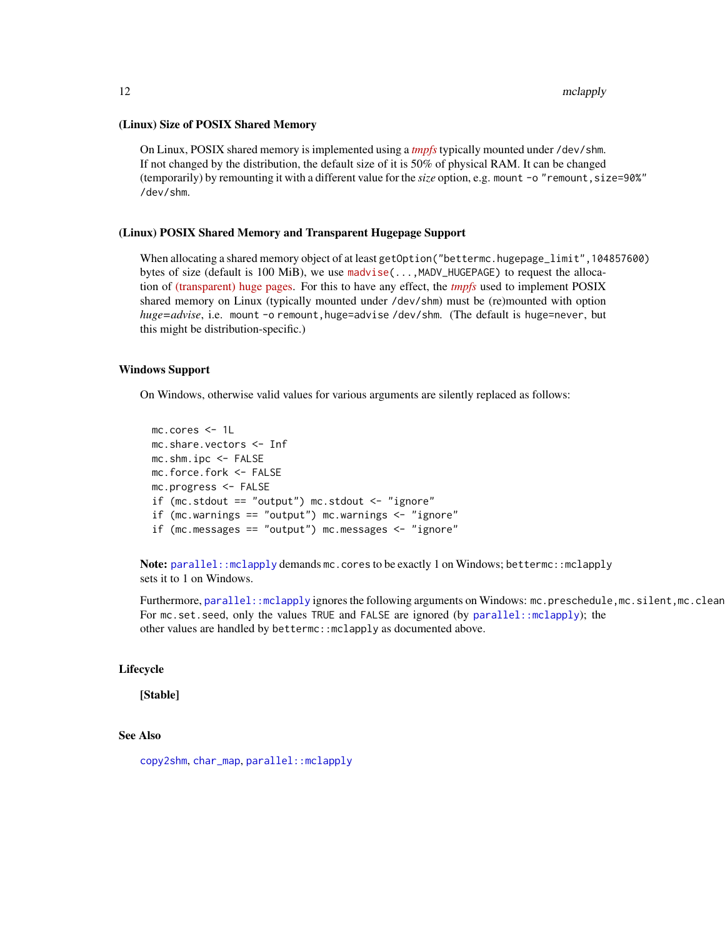#### <span id="page-11-0"></span>(Linux) Size of POSIX Shared Memory

On Linux, POSIX shared memory is implemented using a *[tmpfs](https://man7.org/linux/man-pages/man5/tmpfs.5.html)* typically mounted under /dev/shm. If not changed by the distribution, the default size of it is 50% of physical RAM. It can be changed (temporarily) by remounting it with a different value for the *size* option, e.g. mount -o "remount,size=90%" /dev/shm.

#### (Linux) POSIX Shared Memory and Transparent Hugepage Support

When allocating a shared memory object of at least getOption("bettermc.hugepage\_limit",104857600) bytes of size (default is 100 MiB), we use [madvise\(](https://man7.org/linux/man-pages/man2/madvise.2.html)...,MADV\_HUGEPAGE) to request the allocation of [\(transparent\) huge pages.](https://www.kernel.org/doc/Documentation/vm/transhuge.txt) For this to have any effect, the *[tmpfs](https://man7.org/linux/man-pages/man5/tmpfs.5.html)* used to implement POSIX shared memory on Linux (typically mounted under /dev/shm) must be (re)mounted with option *huge=advise*, i.e. mount -o remount,huge=advise /dev/shm. (The default is huge=never, but this might be distribution-specific.)

### Windows Support

On Windows, otherwise valid values for various arguments are silently replaced as follows:

mc.cores <- 1L mc.share.vectors <- Inf mc.shm.ipc <- FALSE mc.force.fork <- FALSE mc.progress <- FALSE if (mc.stdout == "output") mc.stdout  $\leq$  "ignore" if (mc.warnings == "output") mc.warnings <- "ignore" if (mc.messages == "output") mc.messages <- "ignore"

Note: [parallel::mclapply](#page-0-0) demands mc.cores to be exactly 1 on Windows; bettermc::mclapply sets it to 1 on Windows.

Furthermore, [parallel::mclapply](#page-0-0) ignores the following arguments on Windows: mc.preschedule,mc.silent,mc.clean For mc.set.seed, only the values TRUE and FALSE are ignored (by parallel: : mclapply); the other values are handled by bettermc::mclapply as documented above.

### Lifecycle

[Stable]

# See Also

[copy2shm](#page-3-1), [char\\_map](#page-1-1), [parallel::mclapply](#page-0-0)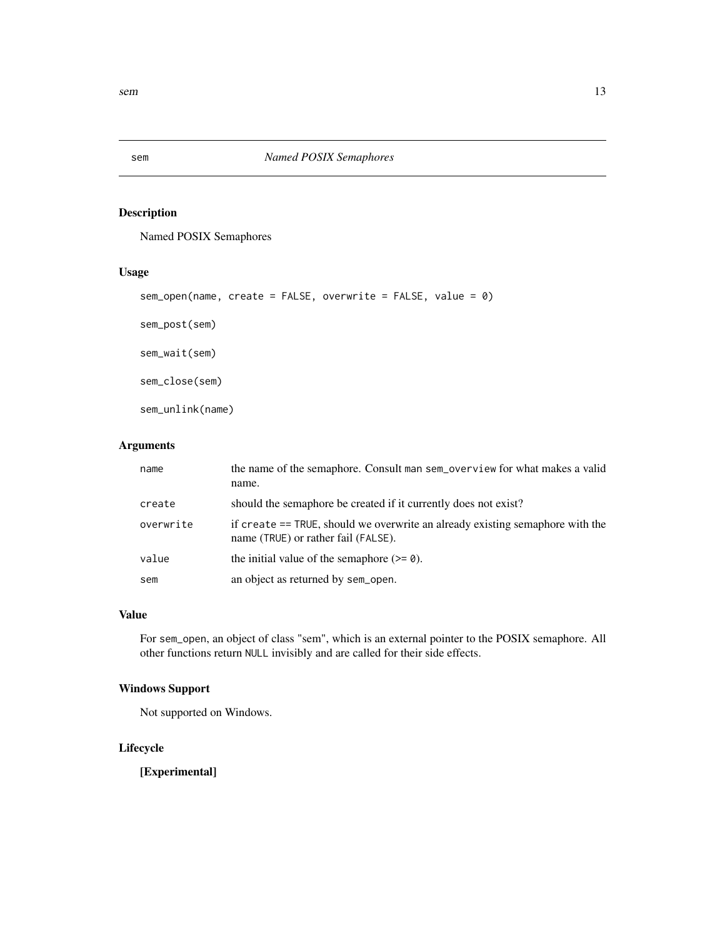<span id="page-12-0"></span>

# Description

Named POSIX Semaphores

# Usage

```
sem_open(name, create = FALSE, overwrite = FALSE, value = 0)
```
sem\_post(sem)

sem\_wait(sem)

sem\_close(sem)

sem\_unlink(name)

# Arguments

| name      | the name of the semaphore. Consult man sem_overview for what makes a valid<br>name.                                  |
|-----------|----------------------------------------------------------------------------------------------------------------------|
| create    | should the semaphore be created if it currently does not exist?                                                      |
| overwrite | if create == TRUE, should we overwrite an already existing semaphore with the<br>name (TRUE) or rather fail (FALSE). |
| value     | the initial value of the semaphore $(>= 0)$ .                                                                        |
| sem       | an object as returned by sem_open.                                                                                   |

### Value

For sem\_open, an object of class "sem", which is an external pointer to the POSIX semaphore. All other functions return NULL invisibly and are called for their side effects.

# Windows Support

Not supported on Windows.

# Lifecycle

[Experimental]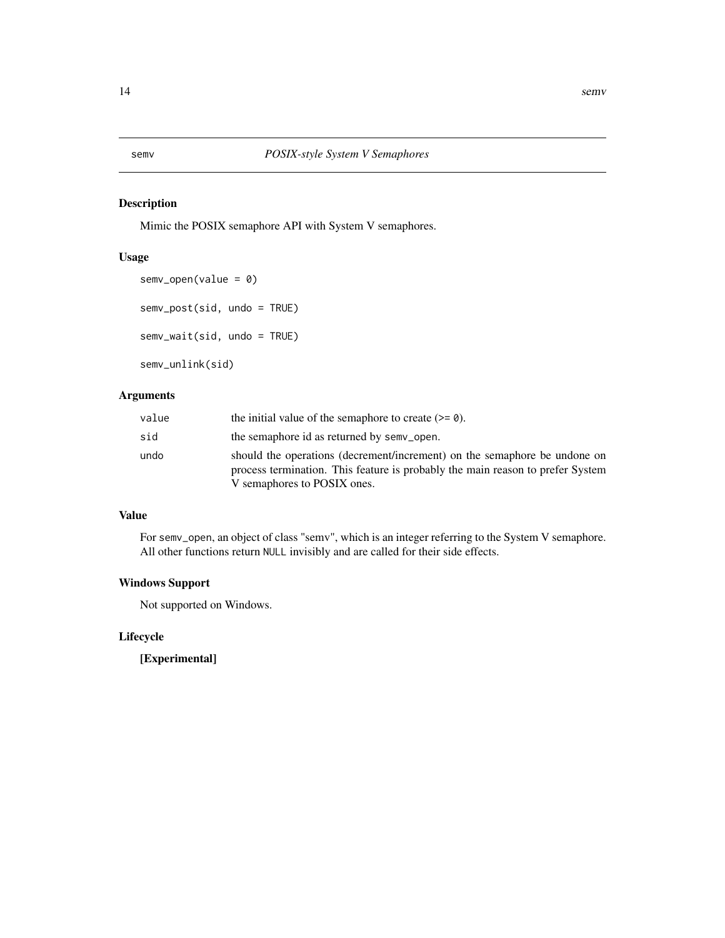<span id="page-13-0"></span>

# Description

Mimic the POSIX semaphore API with System V semaphores.

# Usage

```
semv_open(value = 0)
semv_post(sid, undo = TRUE)
semv_wait(sid, undo = TRUE)
semv_unlink(sid)
```
# Arguments

| value | the initial value of the semaphore to create $(>= 0)$ .                                                                                                                                    |
|-------|--------------------------------------------------------------------------------------------------------------------------------------------------------------------------------------------|
| sid   | the semaphore id as returned by semv_open.                                                                                                                                                 |
| undo  | should the operations (decrement/increment) on the semaphore be undone on<br>process termination. This feature is probably the main reason to prefer System<br>V semaphores to POSIX ones. |

# Value

For semv\_open, an object of class "semv", which is an integer referring to the System V semaphore. All other functions return NULL invisibly and are called for their side effects.

# Windows Support

Not supported on Windows.

# Lifecycle

[Experimental]